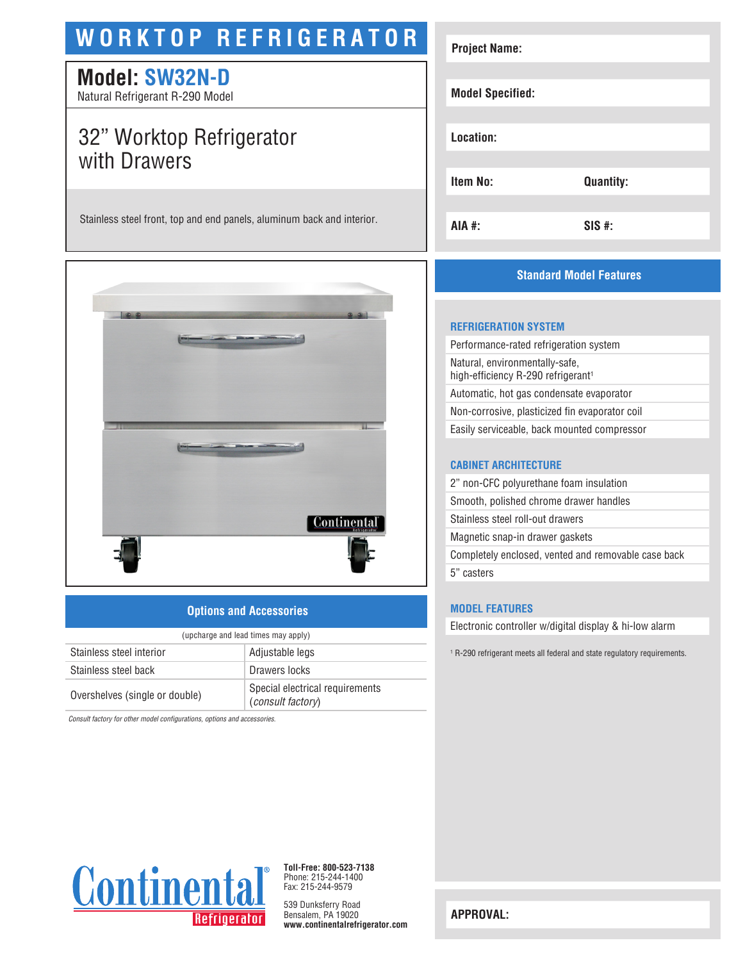# **WORKTOP REFRIGERATOR**

# **Model: SW32N-D**

Natural Refrigerant R-290 Model

# 32" Worktop Refrigerator with Drawers

Stainless steel front, top and end panels, aluminum back and interior.



### **Options and Accessories**

| (upcharge and lead times may apply) |                                                      |  |
|-------------------------------------|------------------------------------------------------|--|
| Stainless steel interior            | Adjustable legs                                      |  |
| Stainless steel back                | Drawers locks                                        |  |
| Overshelves (single or double)      | Special electrical requirements<br>(consult factory) |  |

*Consult factory for other model configurations, options and accessories.*

| <b>Project Name:</b>    |                  |
|-------------------------|------------------|
| <b>Model Specified:</b> |                  |
| Location:               |                  |
| Item No:                | <b>Quantity:</b> |
| AIA #:                  | $SIS$ #:         |

## **Standard Model Features**

#### **REFRIGERATION SYSTEM**

Performance-rated refrigeration system Natural, environmentally-safe, high-efficiency R-290 refrigerant<sup>1</sup> Automatic, hot gas condensate evaporator Non-corrosive, plasticized fin evaporator coil Easily serviceable, back mounted compressor

#### **CABINET ARCHITECTURE**

2" non-CFC polyurethane foam insulation Smooth, polished chrome drawer handles Stainless steel roll-out drawers Magnetic snap-in drawer gaskets Completely enclosed, vented and removable case back 5" casters

#### **MODEL FEATURES**

Electronic controller w/digital display & hi-low alarm

1 R-290 refrigerant meets all federal and state regulatory requirements.



**Toll-Free: 800-523-7138** Phone: 215-244-1400 Fax: 215-244-9579

539 Dunksferry Road Bensalem, PA 19020 **www.continentalrefrigerator.com** 

**APPROVAL:**